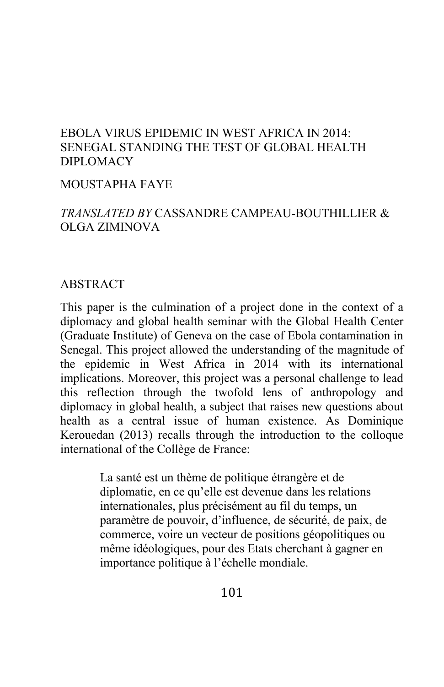# EBOLA VIRUS EPIDEMIC IN WEST AFRICA IN 2014: SENEGAL STANDING THE TEST OF GLOBAL HEALTH DIPLOMACY

#### MOUSTAPHA FAYE

# *TRANSLATED BY* CASSANDRE CAMPEAU-BOUTHILLIER & OLGA ZIMINOVA

#### **ABSTRACT**

This paper is the culmination of a project done in the context of a diplomacy and global health seminar with the Global Health Center (Graduate Institute) of Geneva on the case of Ebola contamination in Senegal. This project allowed the understanding of the magnitude of the epidemic in West Africa in 2014 with its international implications. Moreover, this project was a personal challenge to lead this reflection through the twofold lens of anthropology and diplomacy in global health, a subject that raises new questions about health as a central issue of human existence. As Dominique Kerouedan (2013) recalls through the introduction to the colloque international of the Collège de France:

> La santé est un thème de politique étrangère et de diplomatie, en ce qu'elle est devenue dans les relations internationales, plus précisément au fil du temps, un paramètre de pouvoir, d'influence, de sécurité, de paix, de commerce, voire un vecteur de positions géopolitiques ou même idéologiques, pour des Etats cherchant à gagner en importance politique à l'échelle mondiale.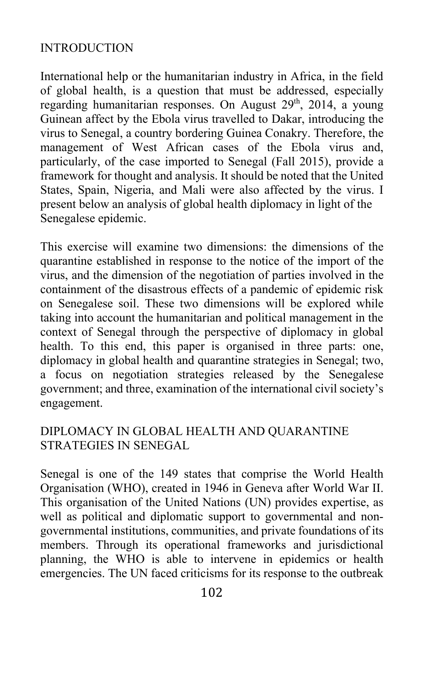### INTRODUCTION

International help or the humanitarian industry in Africa, in the field of global health, is a question that must be addressed, especially regarding humanitarian responses. On August 29<sup>th</sup>, 2014, a young Guinean affect by the Ebola virus travelled to Dakar, introducing the virus to Senegal, a country bordering Guinea Conakry. Therefore, the management of West African cases of the Ebola virus and, particularly, of the case imported to Senegal (Fall 2015), provide a framework for thought and analysis. It should be noted that the United States, Spain, Nigeria, and Mali were also affected by the virus. I present below an analysis of global health diplomacy in light of the Senegalese epidemic.

This exercise will examine two dimensions: the dimensions of the quarantine established in response to the notice of the import of the virus, and the dimension of the negotiation of parties involved in the containment of the disastrous effects of a pandemic of epidemic risk on Senegalese soil. These two dimensions will be explored while taking into account the humanitarian and political management in the context of Senegal through the perspective of diplomacy in global health. To this end, this paper is organised in three parts: one, diplomacy in global health and quarantine strategies in Senegal; two, a focus on negotiation strategies released by the Senegalese government; and three, examination of the international civil society's engagement.

# DIPLOMACY IN GLOBAL HEALTH AND QUARANTINE STRATEGIES IN SENEGAL

Senegal is one of the 149 states that comprise the World Health Organisation (WHO), created in 1946 in Geneva after World War II. This organisation of the United Nations (UN) provides expertise, as well as political and diplomatic support to governmental and nongovernmental institutions, communities, and private foundations of its members. Through its operational frameworks and jurisdictional planning, the WHO is able to intervene in epidemics or health emergencies. The UN faced criticisms for its response to the outbreak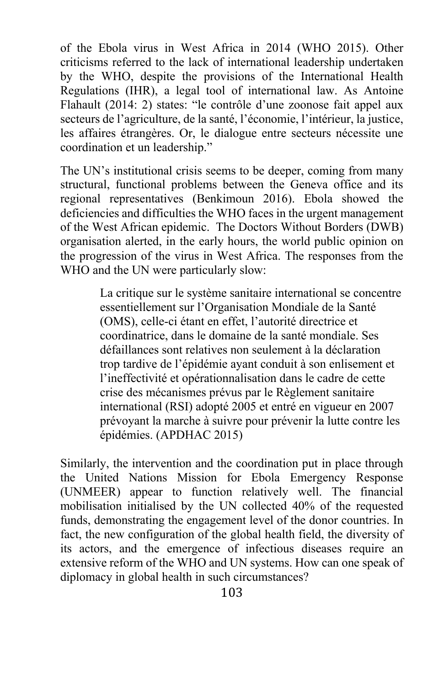of the Ebola virus in West Africa in 2014 (WHO 2015). Other criticisms referred to the lack of international leadership undertaken by the WHO, despite the provisions of the International Health Regulations (IHR), a legal tool of international law. As Antoine Flahault (2014: 2) states: "le contrôle d'une zoonose fait appel aux secteurs de l'agriculture, de la santé, l'économie, l'intérieur, la justice, les affaires étrangères. Or, le dialogue entre secteurs nécessite une coordination et un leadership."

The UN's institutional crisis seems to be deeper, coming from many structural, functional problems between the Geneva office and its regional representatives (Benkimoun 2016). Ebola showed the deficiencies and difficulties the WHO faces in the urgent management of the West African epidemic. The Doctors Without Borders (DWB) organisation alerted, in the early hours, the world public opinion on the progression of the virus in West Africa. The responses from the WHO and the UN were particularly slow:

> La critique sur le système sanitaire international se concentre essentiellement sur l'Organisation Mondiale de la Santé (OMS), celle-ci étant en effet, l'autorité directrice et coordinatrice, dans le domaine de la santé mondiale. Ses défaillances sont relatives non seulement à la déclaration trop tardive de l'épidémie ayant conduit à son enlisement et l'ineffectivité et opérationnalisation dans le cadre de cette crise des mécanismes prévus par le Règlement sanitaire international (RSI) adopté 2005 et entré en vigueur en 2007 prévoyant la marche à suivre pour prévenir la lutte contre les épidémies. (APDHAC 2015)

Similarly, the intervention and the coordination put in place through the United Nations Mission for Ebola Emergency Response (UNMEER) appear to function relatively well. The financial mobilisation initialised by the UN collected 40% of the requested funds, demonstrating the engagement level of the donor countries. In fact, the new configuration of the global health field, the diversity of its actors, and the emergence of infectious diseases require an extensive reform of the WHO and UN systems. How can one speak of diplomacy in global health in such circumstances?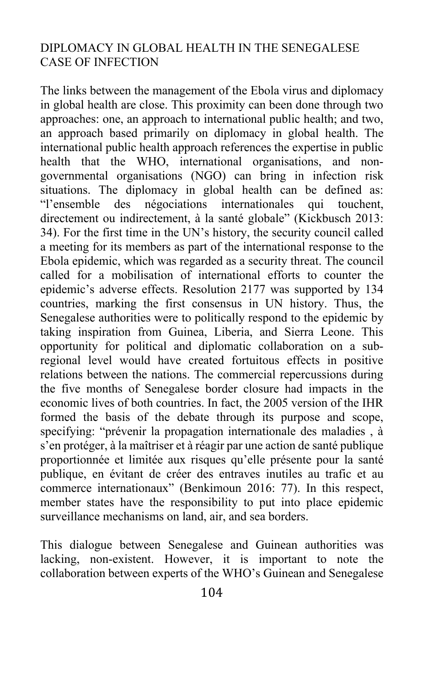## DIPLOMACY IN GLOBAL HEALTH IN THE SENEGALESE CASE OF INFECTION

The links between the management of the Ebola virus and diplomacy in global health are close. This proximity can been done through two approaches: one, an approach to international public health; and two, an approach based primarily on diplomacy in global health. The international public health approach references the expertise in public health that the WHO, international organisations, and nongovernmental organisations (NGO) can bring in infection risk situations. The diplomacy in global health can be defined as: "l'ensemble des négociations internationales qui touchent, directement ou indirectement, à la santé globale" (Kickbusch 2013: 34). For the first time in the UN's history, the security council called a meeting for its members as part of the international response to the Ebola epidemic, which was regarded as a security threat. The council called for a mobilisation of international efforts to counter the epidemic's adverse effects. Resolution 2177 was supported by 134 countries, marking the first consensus in UN history. Thus, the Senegalese authorities were to politically respond to the epidemic by taking inspiration from Guinea, Liberia, and Sierra Leone. This opportunity for political and diplomatic collaboration on a subregional level would have created fortuitous effects in positive relations between the nations. The commercial repercussions during the five months of Senegalese border closure had impacts in the economic lives of both countries. In fact, the 2005 version of the IHR formed the basis of the debate through its purpose and scope, specifying: "prévenir la propagation internationale des maladies , à s'en protéger, à la maîtriser et à réagir par une action de santé publique proportionnée et limitée aux risques qu'elle présente pour la santé publique, en évitant de créer des entraves inutiles au trafic et au commerce internationaux" (Benkimoun 2016: 77). In this respect, member states have the responsibility to put into place epidemic surveillance mechanisms on land, air, and sea borders.

This dialogue between Senegalese and Guinean authorities was lacking, non-existent. However, it is important to note the collaboration between experts of the WHO's Guinean and Senegalese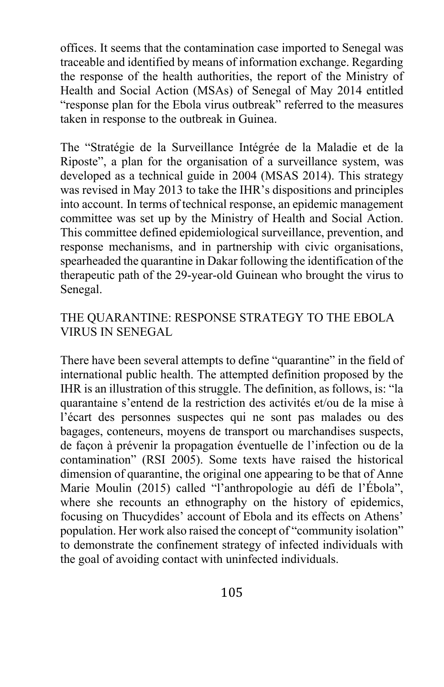offices. It seems that the contamination case imported to Senegal was traceable and identified by means of information exchange. Regarding the response of the health authorities, the report of the Ministry of Health and Social Action (MSAs) of Senegal of May 2014 entitled "response plan for the Ebola virus outbreak" referred to the measures taken in response to the outbreak in Guinea.

The "Stratégie de la Surveillance Intégrée de la Maladie et de la Riposte", a plan for the organisation of a surveillance system, was developed as a technical guide in 2004 (MSAS 2014). This strategy was revised in May 2013 to take the IHR's dispositions and principles into account. In terms of technical response, an epidemic management committee was set up by the Ministry of Health and Social Action. This committee defined epidemiological surveillance, prevention, and response mechanisms, and in partnership with civic organisations, spearheaded the quarantine in Dakar following the identification of the therapeutic path of the 29-year-old Guinean who brought the virus to Senegal.

## THE QUARANTINE: RESPONSE STRATEGY TO THE EBOLA VIRUS IN SENEGAL

There have been several attempts to define "quarantine" in the field of international public health. The attempted definition proposed by the IHR is an illustration of this struggle. The definition, as follows, is: "la quarantaine s'entend de la restriction des activités et/ou de la mise à l'écart des personnes suspectes qui ne sont pas malades ou des bagages, conteneurs, moyens de transport ou marchandises suspects, de façon à prévenir la propagation éventuelle de l'infection ou de la contamination" (RSI 2005). Some texts have raised the historical dimension of quarantine, the original one appearing to be that of Anne Marie Moulin (2015) called "l'anthropologie au défi de l'Ébola", where she recounts an ethnography on the history of epidemics, focusing on Thucydides' account of Ebola and its effects on Athens' population. Her work also raised the concept of "community isolation" to demonstrate the confinement strategy of infected individuals with the goal of avoiding contact with uninfected individuals.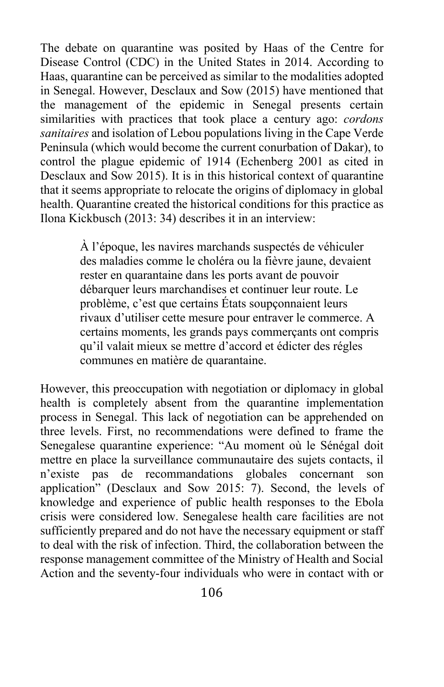The debate on quarantine was posited by Haas of the Centre for Disease Control (CDC) in the United States in 2014. According to Haas, quarantine can be perceived as similar to the modalities adopted in Senegal. However, Desclaux and Sow (2015) have mentioned that the management of the epidemic in Senegal presents certain similarities with practices that took place a century ago: *cordons sanitaires* and isolation of Lebou populations living in the Cape Verde Peninsula (which would become the current conurbation of Dakar), to control the plague epidemic of 1914 (Echenberg 2001 as cited in Desclaux and Sow 2015). It is in this historical context of quarantine that it seems appropriate to relocate the origins of diplomacy in global health. Quarantine created the historical conditions for this practice as Ilona Kickbusch (2013: 34) describes it in an interview:

> À l'époque, les navires marchands suspectés de véhiculer des maladies comme le choléra ou la fièvre jaune, devaient rester en quarantaine dans les ports avant de pouvoir débarquer leurs marchandises et continuer leur route. Le problème, c'est que certains États soupçonnaient leurs rivaux d'utiliser cette mesure pour entraver le commerce. A certains moments, les grands pays commerçants ont compris qu'il valait mieux se mettre d'accord et édicter des régles communes en matière de quarantaine.

However, this preoccupation with negotiation or diplomacy in global health is completely absent from the quarantine implementation process in Senegal. This lack of negotiation can be apprehended on three levels. First, no recommendations were defined to frame the Senegalese quarantine experience: "Au moment où le Sénégal doit mettre en place la surveillance communautaire des sujets contacts, il n'existe pas de recommandations globales concernant son application" (Desclaux and Sow 2015: 7). Second, the levels of knowledge and experience of public health responses to the Ebola crisis were considered low. Senegalese health care facilities are not sufficiently prepared and do not have the necessary equipment or staff to deal with the risk of infection. Third, the collaboration between the response management committee of the Ministry of Health and Social Action and the seventy-four individuals who were in contact with or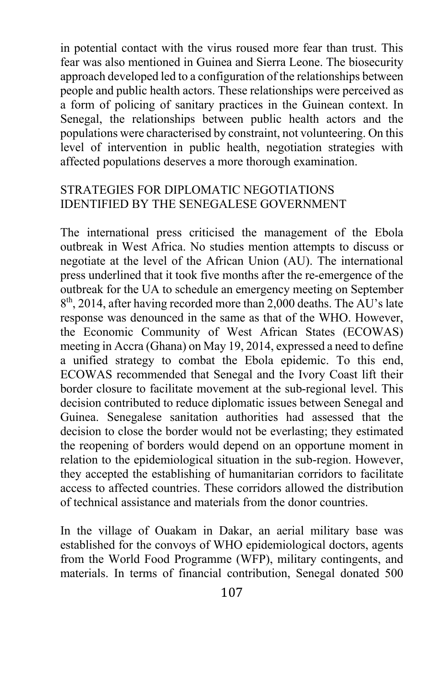in potential contact with the virus roused more fear than trust. This fear was also mentioned in Guinea and Sierra Leone. The biosecurity approach developed led to a configuration of the relationships between people and public health actors. These relationships were perceived as a form of policing of sanitary practices in the Guinean context. In Senegal, the relationships between public health actors and the populations were characterised by constraint, not volunteering. On this level of intervention in public health, negotiation strategies with affected populations deserves a more thorough examination.

# STRATEGIES FOR DIPLOMATIC NEGOTIATIONS IDENTIFIED BY THE SENEGALESE GOVERNMENT

The international press criticised the management of the Ebola outbreak in West Africa. No studies mention attempts to discuss or negotiate at the level of the African Union (AU). The international press underlined that it took five months after the re-emergence of the outbreak for the UA to schedule an emergency meeting on September  $8<sup>th</sup>$ , 2014, after having recorded more than 2,000 deaths. The AU's late response was denounced in the same as that of the WHO. However, the Economic Community of West African States (ECOWAS) meeting in Accra (Ghana) on May 19, 2014, expressed a need to define a unified strategy to combat the Ebola epidemic. To this end, ECOWAS recommended that Senegal and the Ivory Coast lift their border closure to facilitate movement at the sub-regional level. This decision contributed to reduce diplomatic issues between Senegal and Guinea. Senegalese sanitation authorities had assessed that the decision to close the border would not be everlasting; they estimated the reopening of borders would depend on an opportune moment in relation to the epidemiological situation in the sub-region. However, they accepted the establishing of humanitarian corridors to facilitate access to affected countries. These corridors allowed the distribution of technical assistance and materials from the donor countries.

In the village of Ouakam in Dakar, an aerial military base was established for the convoys of WHO epidemiological doctors, agents from the World Food Programme (WFP), military contingents, and materials. In terms of financial contribution, Senegal donated 500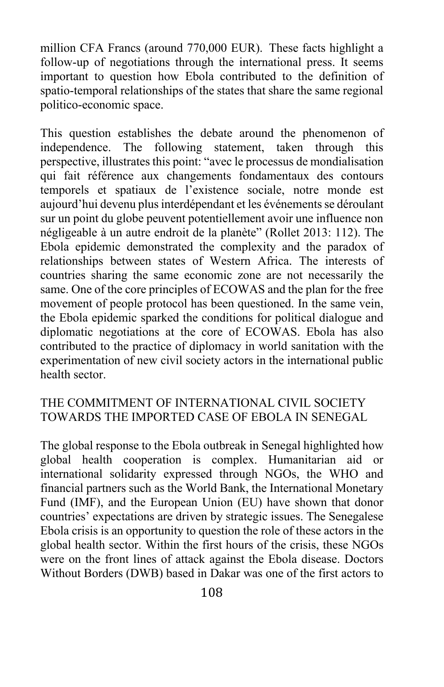million CFA Francs (around 770,000 EUR). These facts highlight a follow-up of negotiations through the international press. It seems important to question how Ebola contributed to the definition of spatio-temporal relationships of the states that share the same regional politico-economic space.

This question establishes the debate around the phenomenon of independence. The following statement, taken through this perspective, illustrates this point: "avec le processus de mondialisation qui fait référence aux changements fondamentaux des contours temporels et spatiaux de l'existence sociale, notre monde est aujourd'hui devenu plus interdépendant et les événements se déroulant sur un point du globe peuvent potentiellement avoir une influence non négligeable à un autre endroit de la planète" (Rollet 2013: 112). The Ebola epidemic demonstrated the complexity and the paradox of relationships between states of Western Africa. The interests of countries sharing the same economic zone are not necessarily the same. One of the core principles of ECOWAS and the plan for the free movement of people protocol has been questioned. In the same vein, the Ebola epidemic sparked the conditions for political dialogue and diplomatic negotiations at the core of ECOWAS. Ebola has also contributed to the practice of diplomacy in world sanitation with the experimentation of new civil society actors in the international public health sector.

## THE COMMITMENT OF INTERNATIONAL CIVIL SOCIETY TOWARDS THE IMPORTED CASE OF EBOLA IN SENEGAL

The global response to the Ebola outbreak in Senegal highlighted how global health cooperation is complex. Humanitarian aid or international solidarity expressed through NGOs, the WHO and financial partners such as the World Bank, the International Monetary Fund (IMF), and the European Union (EU) have shown that donor countries' expectations are driven by strategic issues. The Senegalese Ebola crisis is an opportunity to question the role of these actors in the global health sector. Within the first hours of the crisis, these NGOs were on the front lines of attack against the Ebola disease. Doctors Without Borders (DWB) based in Dakar was one of the first actors to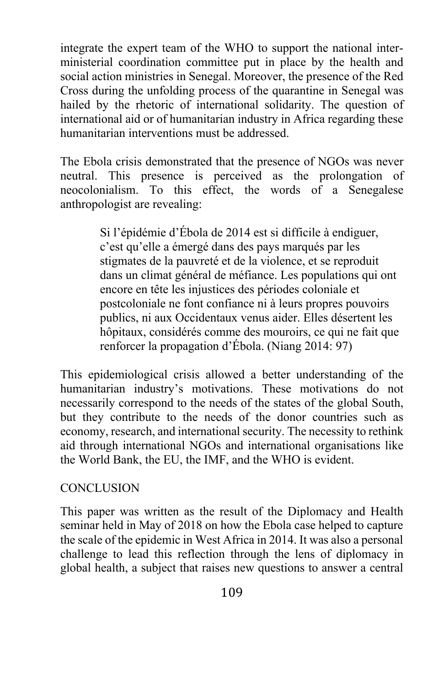integrate the expert team of the WHO to support the national interministerial coordination committee put in place by the health and social action ministries in Senegal. Moreover, the presence of the Red Cross during the unfolding process of the quarantine in Senegal was hailed by the rhetoric of international solidarity. The question of international aid or of humanitarian industry in Africa regarding these humanitarian interventions must be addressed.

The Ebola crisis demonstrated that the presence of NGOs was never neutral. This presence is perceived as the prolongation of neocolonialism. To this effect, the words of a Senegalese anthropologist are revealing:

> Si l'épidémie d'Ébola de 2014 est si difficile à endiguer, c'est qu'elle a émergé dans des pays marqués par les stigmates de la pauvreté et de la violence, et se reproduit dans un climat général de méfiance. Les populations qui ont encore en tête les injustices des périodes coloniale et postcoloniale ne font confiance ni à leurs propres pouvoirs publics, ni aux Occidentaux venus aider. Elles désertent les hôpitaux, considérés comme des mouroirs, ce qui ne fait que renforcer la propagation d'Ébola. (Niang 2014: 97)

This epidemiological crisis allowed a better understanding of the humanitarian industry's motivations. These motivations do not necessarily correspond to the needs of the states of the global South, but they contribute to the needs of the donor countries such as economy, research, and international security. The necessity to rethink aid through international NGOs and international organisations like the World Bank, the EU, the IMF, and the WHO is evident.

# **CONCLUSION**

This paper was written as the result of the Diplomacy and Health seminar held in May of 2018 on how the Ebola case helped to capture the scale of the epidemic in West Africa in 2014. It was also a personal challenge to lead this reflection through the lens of diplomacy in global health, a subject that raises new questions to answer a central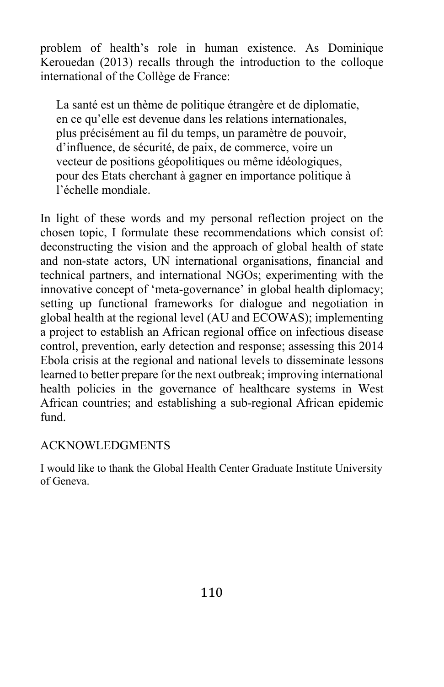problem of health's role in human existence. As Dominique Kerouedan (2013) recalls through the introduction to the colloque international of the Collège de France:

La santé est un thème de politique étrangère et de diplomatie, en ce qu'elle est devenue dans les relations internationales, plus précisément au fil du temps, un paramètre de pouvoir, d'influence, de sécurité, de paix, de commerce, voire un vecteur de positions géopolitiques ou même idéologiques, pour des Etats cherchant à gagner en importance politique à l'échelle mondiale.

In light of these words and my personal reflection project on the chosen topic, I formulate these recommendations which consist of: deconstructing the vision and the approach of global health of state and non-state actors, UN international organisations, financial and technical partners, and international NGOs; experimenting with the innovative concept of 'meta-governance' in global health diplomacy; setting up functional frameworks for dialogue and negotiation in global health at the regional level (AU and ECOWAS); implementing a project to establish an African regional office on infectious disease control, prevention, early detection and response; assessing this 2014 Ebola crisis at the regional and national levels to disseminate lessons learned to better prepare for the next outbreak; improving international health policies in the governance of healthcare systems in West African countries; and establishing a sub-regional African epidemic fund.

#### ACKNOWLEDGMENTS

I would like to thank the Global Health Center Graduate Institute University of Geneva.